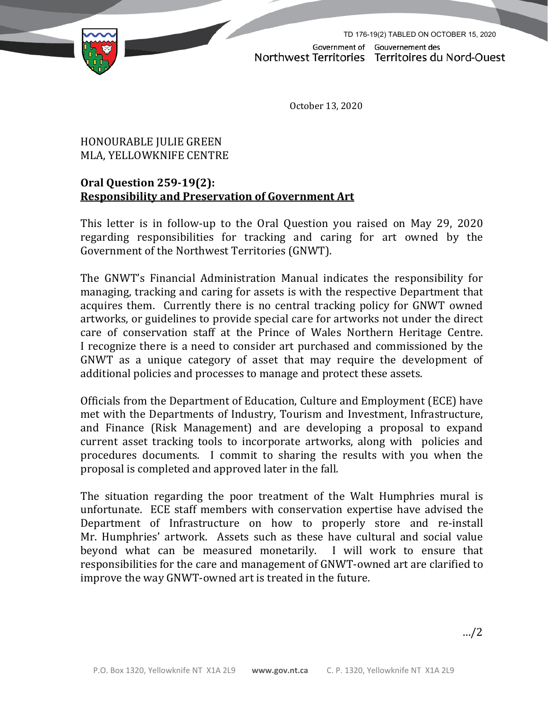

TD 176-19(2) TABLED ON OCTOBER 15, 2020Government of Gouvernement des Northwest Territories Territoires du Nord-Ouest

October 13, 2020

## HONOURABLE JULIE GREEN MLA, YELLOWKNIFE CENTRE

## **Oral Question 259-19(2): Responsibility and Preservation of Government Art**

This letter is in follow-up to the Oral Question you raised on May 29, 2020 regarding responsibilities for tracking and caring for art owned by the Government of the Northwest Territories (GNWT).

The GNWT's Financial Administration Manual indicates the responsibility for managing, tracking and caring for assets is with the respective Department that acquires them. Currently there is no central tracking policy for GNWT owned artworks, or guidelines to provide special care for artworks not under the direct care of conservation staff at the Prince of Wales Northern Heritage Centre. I recognize there is a need to consider art purchased and commissioned by the GNWT as a unique category of asset that may require the development of additional policies and processes to manage and protect these assets.

Officials from the Department of Education, Culture and Employment (ECE) have met with the Departments of Industry, Tourism and Investment, Infrastructure, and Finance (Risk Management) and are developing a proposal to expand current asset tracking tools to incorporate artworks, along with policies and procedures documents. I commit to sharing the results with you when the proposal is completed and approved later in the fall.

The situation regarding the poor treatment of the Walt Humphries mural is unfortunate. ECE staff members with conservation expertise have advised the Department of Infrastructure on how to properly store and re-install Mr. Humphries' artwork. Assets such as these have cultural and social value beyond what can be measured monetarily. I will work to ensure that responsibilities for the care and management of GNWT-owned art are clarified to improve the way GNWT-owned art is treated in the future.

…/2